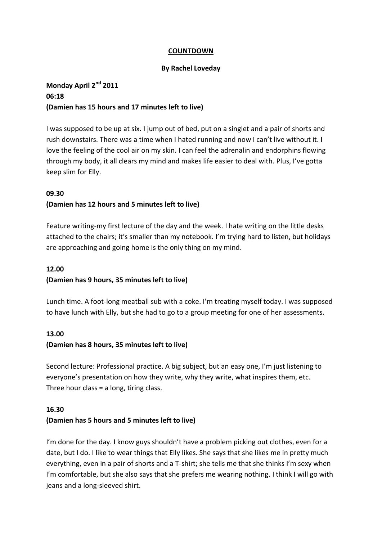### **COUNTDOWN**

#### **By Rachel Loveday**

# **Monday April 2nd 2011 06:18 (Damien has 15 hours and 17 minutes left to live)**

I was supposed to be up at six. I jump out of bed, put on a singlet and a pair of shorts and rush downstairs. There was a time when I hated running and now I can't live without it. I love the feeling of the cool air on my skin. I can feel the adrenalin and endorphins flowing through my body, it all clears my mind and makes life easier to deal with. Plus, I've gotta keep slim for Elly.

#### **09.30**

## **(Damien has 12 hours and 5 minutes left to live)**

Feature writing-my first lecture of the day and the week. I hate writing on the little desks attached to the chairs; it's smaller than my notebook. I'm trying hard to listen, but holidays are approaching and going home is the only thing on my mind.

### **12.00**

### **(Damien has 9 hours, 35 minutes left to live)**

Lunch time. A foot-long meatball sub with a coke. I'm treating myself today. I was supposed to have lunch with Elly, but she had to go to a group meeting for one of her assessments.

## **13.00 (Damien has 8 hours, 35 minutes left to live)**

Second lecture: Professional practice. A big subject, but an easy one, I'm just listening to everyone's presentation on how they write, why they write, what inspires them, etc. Three hour class = a long, tiring class.

#### **16.30**

### **(Damien has 5 hours and 5 minutes left to live)**

I'm done for the day. I know guys shouldn't have a problem picking out clothes, even for a date, but I do. I like to wear things that Elly likes. She says that she likes me in pretty much everything, even in a pair of shorts and a T-shirt; she tells me that she thinks I'm sexy when I'm comfortable, but she also says that she prefers me wearing nothing. I think I will go with jeans and a long-sleeved shirt.